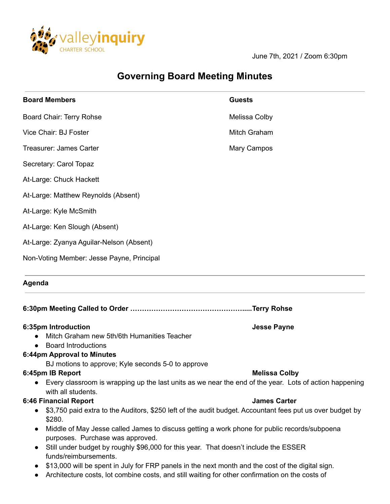

June 7th, 2021 / Zoom 6:30pm

# **Governing Board Meeting Minutes**

| <b>Board Members</b>                                                                                                                                                                    | <b>Guests</b>        |                                             |                    |
|-----------------------------------------------------------------------------------------------------------------------------------------------------------------------------------------|----------------------|---------------------------------------------|--------------------|
| Board Chair: Terry Rohse                                                                                                                                                                | Melissa Colby        |                                             |                    |
| Vice Chair: BJ Foster                                                                                                                                                                   | Mitch Graham         |                                             |                    |
| Treasurer: James Carter                                                                                                                                                                 | Mary Campos          |                                             |                    |
| Secretary: Carol Topaz                                                                                                                                                                  |                      |                                             |                    |
| At-Large: Chuck Hackett                                                                                                                                                                 |                      |                                             |                    |
| At-Large: Matthew Reynolds (Absent)<br>At-Large: Kyle McSmith<br>At-Large: Ken Slough (Absent)<br>At-Large: Zyanya Aguilar-Nelson (Absent)<br>Non-Voting Member: Jesse Payne, Principal |                      |                                             |                    |
|                                                                                                                                                                                         |                      | Agenda                                      |                    |
|                                                                                                                                                                                         |                      |                                             |                    |
|                                                                                                                                                                                         |                      | 6:35pm Introduction                         | <b>Jesse Payne</b> |
|                                                                                                                                                                                         |                      | Mitch Graham new 5th/6th Humanities Teacher |                    |
| <b>Board Introductions</b><br>6:44pm Approval to Minutes                                                                                                                                |                      |                                             |                    |
| BJ motions to approve; Kyle seconds 5-0 to approve                                                                                                                                      |                      |                                             |                    |
| 6:45pm IB Report                                                                                                                                                                        | <b>Melissa Colby</b> |                                             |                    |
| Every classroom is wrapping up the last units as we near the end of the year. Lots of action happening<br>$\bullet$<br>with all students.                                               |                      |                                             |                    |
| <b>6:46 Financial Report</b>                                                                                                                                                            | <b>James Carter</b>  |                                             |                    |
| \$3,750 paid extra to the Auditors, \$250 left of the audit budget. Accountant fees put us over budget by<br>$\bullet$<br>\$280.                                                        |                      |                                             |                    |
| Middle of May Jesse called James to discuss getting a work phone for public records/subpoena<br>$\bullet$                                                                               |                      |                                             |                    |
| purposes. Purchase was approved.<br>Still under budget by roughly \$96,000 for this year. That doesn't include the ESSER<br>$\bullet$                                                   |                      |                                             |                    |
| funds/reimbursements.                                                                                                                                                                   |                      |                                             |                    |
| \$13,000 will be spent in July for FRP panels in the next month and the cost of the digital sign.<br>$\bullet$                                                                          |                      |                                             |                    |
| Architecture costs, lot combine costs, and still waiting for other confirmation on the costs of<br>$\bullet$                                                                            |                      |                                             |                    |